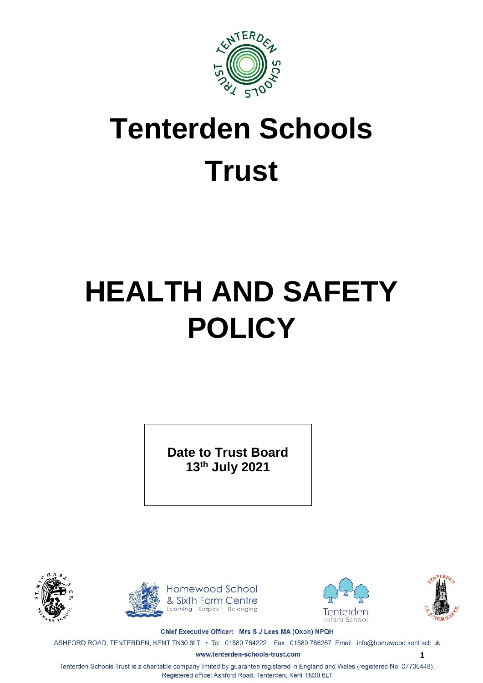

# **Tenterden Schools Trust**

# **HEALTH AND SAFETY POLICY**

**Date to Trust Board 13th July 2021**











**1**

Chief Executive Officer: Mrs S J Lees MA (Oxon) NPQH

ASHFORD ROAD, TENTERDEN, KENT TN30 6LT · Tel: 01580 764222 Fax: 01580 766267 Email: info@homewood.kent.sch.uk

www.tenterden-schools-trust.com

Tenterden Schools Trust is a charitable company limited by guarantee registered in England and Wales (registered No. 07736448). Registered office: Ashford Road, Tenterden, Kent TN30 6LT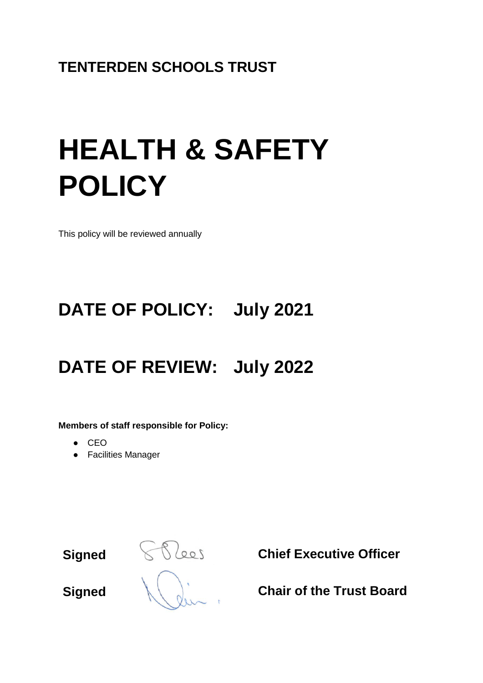# **TENTERDEN SCHOOLS TRUST**

# **HEALTH & SAFETY POLICY**

This policy will be reviewed annually

# **DATE OF POLICY: July 2021**

# **DATE OF REVIEW: July 2022**

**Members of staff responsible for Policy:**

- CEO
- Facilities Manager

**Signed Chief Executive Officer**

**Signed Chair of the Trust Board**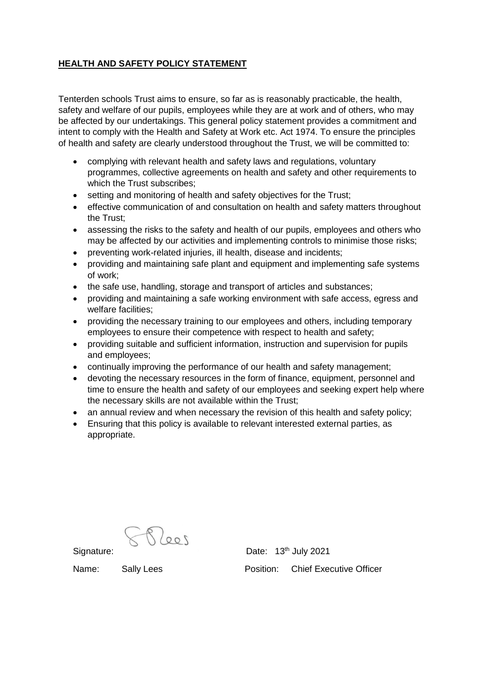# **HEALTH AND SAFETY POLICY STATEMENT**

Tenterden schools Trust aims to ensure, so far as is reasonably practicable, the health, safety and welfare of our pupils, employees while they are at work and of others, who may be affected by our undertakings. This general policy statement provides a commitment and intent to comply with the Health and Safety at Work etc. Act 1974. To ensure the principles of health and safety are clearly understood throughout the Trust, we will be committed to:

- complying with relevant health and safety laws and regulations, voluntary programmes, collective agreements on health and safety and other requirements to which the Trust subscribes;
- setting and monitoring of health and safety objectives for the Trust;
- effective communication of and consultation on health and safety matters throughout the Trust;
- assessing the risks to the safety and health of our pupils, employees and others who may be affected by our activities and implementing controls to minimise those risks;
- preventing work-related injuries, ill health, disease and incidents;
- providing and maintaining safe plant and equipment and implementing safe systems of work;
- the safe use, handling, storage and transport of articles and substances;
- providing and maintaining a safe working environment with safe access, egress and welfare facilities;
- providing the necessary training to our employees and others, including temporary employees to ensure their competence with respect to health and safety;
- providing suitable and sufficient information, instruction and supervision for pupils and employees;
- continually improving the performance of our health and safety management;
- devoting the necessary resources in the form of finance, equipment, personnel and time to ensure the health and safety of our employees and seeking expert help where the necessary skills are not available within the Trust;
- an annual review and when necessary the revision of this health and safety policy;
- Ensuring that this policy is available to relevant interested external parties, as appropriate.

 $700\%$ 

Signature: Date: 13<sup>th</sup> July 2021 Name: Sally Lees **Position:** Chief Executive Officer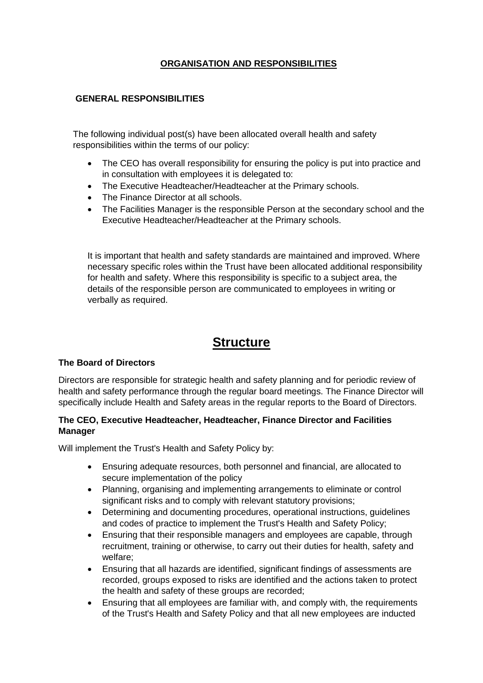# **ORGANISATION AND RESPONSIBILITIES**

### **GENERAL RESPONSIBILITIES**

The following individual post(s) have been allocated overall health and safety responsibilities within the terms of our policy:

- The CEO has overall responsibility for ensuring the policy is put into practice and in consultation with employees it is delegated to:
- The Executive Headteacher/Headteacher at the Primary schools.
- The Finance Director at all schools.
- The Facilities Manager is the responsible Person at the secondary school and the Executive Headteacher/Headteacher at the Primary schools.

It is important that health and safety standards are maintained and improved. Where necessary specific roles within the Trust have been allocated additional responsibility for health and safety. Where this responsibility is specific to a subject area, the details of the responsible person are communicated to employees in writing or verbally as required.

# **Structure**

#### **The Board of Directors**

Directors are responsible for strategic health and safety planning and for periodic review of health and safety performance through the regular board meetings. The Finance Director will specifically include Health and Safety areas in the regular reports to the Board of Directors.

## **The CEO, Executive Headteacher, Headteacher, Finance Director and Facilities Manager**

Will implement the Trust's Health and Safety Policy by:

- Ensuring adequate resources, both personnel and financial, are allocated to secure implementation of the policy
- Planning, organising and implementing arrangements to eliminate or control significant risks and to comply with relevant statutory provisions;
- Determining and documenting procedures, operational instructions, guidelines and codes of practice to implement the Trust's Health and Safety Policy;
- Ensuring that their responsible managers and employees are capable, through recruitment, training or otherwise, to carry out their duties for health, safety and welfare;
- Ensuring that all hazards are identified, significant findings of assessments are recorded, groups exposed to risks are identified and the actions taken to protect the health and safety of these groups are recorded;
- Ensuring that all employees are familiar with, and comply with, the requirements of the Trust's Health and Safety Policy and that all new employees are inducted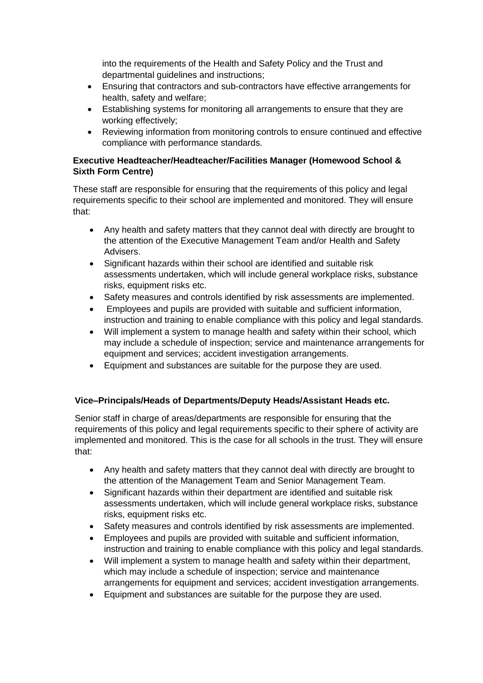into the requirements of the Health and Safety Policy and the Trust and departmental guidelines and instructions;

- Ensuring that contractors and sub-contractors have effective arrangements for health, safety and welfare;
- Establishing systems for monitoring all arrangements to ensure that they are working effectively;
- Reviewing information from monitoring controls to ensure continued and effective compliance with performance standards.

# **Executive Headteacher/Headteacher/Facilities Manager (Homewood School & Sixth Form Centre)**

These staff are responsible for ensuring that the requirements of this policy and legal requirements specific to their school are implemented and monitored. They will ensure that:

- Any health and safety matters that they cannot deal with directly are brought to the attention of the Executive Management Team and/or Health and Safety Advisers.
- Significant hazards within their school are identified and suitable risk assessments undertaken, which will include general workplace risks, substance risks, equipment risks etc.
- Safety measures and controls identified by risk assessments are implemented.
- Employees and pupils are provided with suitable and sufficient information, instruction and training to enable compliance with this policy and legal standards.
- Will implement a system to manage health and safety within their school, which may include a schedule of inspection; service and maintenance arrangements for equipment and services; accident investigation arrangements.
- Equipment and substances are suitable for the purpose they are used.

# **Vice–Principals/Heads of Departments/Deputy Heads/Assistant Heads etc.**

Senior staff in charge of areas/departments are responsible for ensuring that the requirements of this policy and legal requirements specific to their sphere of activity are implemented and monitored. This is the case for all schools in the trust. They will ensure that:

- Any health and safety matters that they cannot deal with directly are brought to the attention of the Management Team and Senior Management Team.
- Significant hazards within their department are identified and suitable risk assessments undertaken, which will include general workplace risks, substance risks, equipment risks etc.
- Safety measures and controls identified by risk assessments are implemented.
- Employees and pupils are provided with suitable and sufficient information, instruction and training to enable compliance with this policy and legal standards.
- Will implement a system to manage health and safety within their department, which may include a schedule of inspection; service and maintenance arrangements for equipment and services; accident investigation arrangements.
- Equipment and substances are suitable for the purpose they are used.